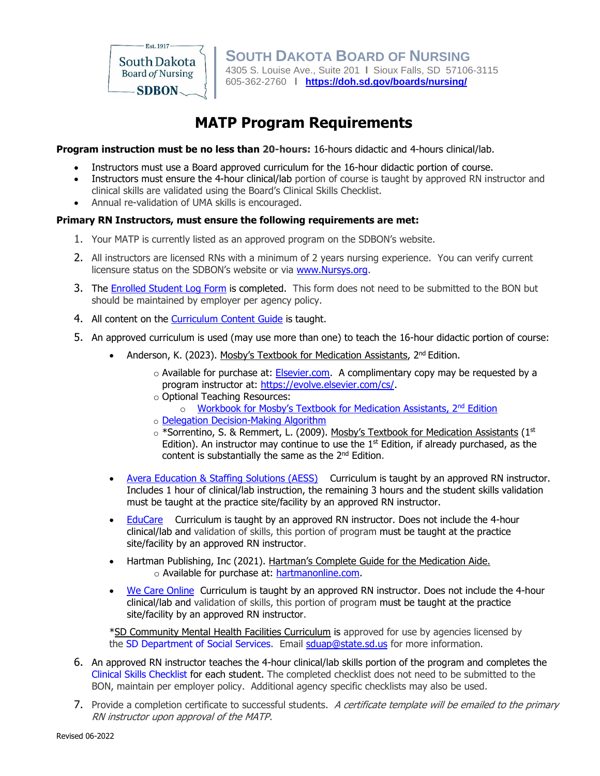

**SOUTH DAKOTA BOARD OF NURSING**  4305 S. Louise Ave., Suite 201 **l** Sioux Falls, SD 57106-3115 605-362-2760 **l <https://doh.sd.gov/boards/nursing/>**

# **MATP Program Requirements**

**Program instruction must be no less than 20-hours:** 16-hours didactic and 4-hours clinical/lab.

- Instructors must use a Board approved curriculum for the 16-hour didactic portion of course.
- Instructors must ensure the 4-hour clinical/lab portion of course is taught by approved RN instructor and clinical skills are validated using the Board's Clinical Skills Checklist.
- Annual re-validation of UMA skills is encouraged.

### **Primary RN Instructors, must ensure the following requirements are met:**

- 1. Your MATP is currently listed as an approved program on the SDBON's website.
- 2. All instructors are licensed RNs with a minimum of 2 years nursing experience. You can verify current licensure status on the SDBON's website or via [www.Nursys.org.](http://www.nursys.org/)
- 3. The [Enrolled](#page-3-0) Student Log Form is completed. This form does not need to be submitted to the BON but should be maintained by employer per agency policy.
- 4. All content on the Curriculum Content Guide is taught.
- 5. An approved curriculum is used (may use more than one) to teach the 16-hour didactic portion of course:
	- Anderson, K. (2023). Mosby's Textbook for Medication Assistants, 2<sup>nd</sup> Edition.
		- $\circ$  Available for purchase at: [Elsevier.com.](https://evolve.elsevier.com/cs/product/9780323056250?role=faculty) A complimentary copy may be requested by a program instructor at: [https://evolve.elsevier.com/cs/.](https://evolve.elsevier.com/cs/)
		- o Optional Teaching Resources:
			- o Workbook for Mosby's Textbook for [Medication](https://evolve.elsevier.com/cs/product/9780323790543?role=faculty) Assistants, 2<sup>nd</sup> Edition
		- o Delegation [Decision-Making](https://doh.sd.gov/boards/nursing/documents/SDBONdelegationAlgorithm2019.pdf) Algorithm
		- o \*Sorrentino, S. & Remmert, L. (2009). Mosby's Textbook for Medication Assistants (1st Edition). An instructor may continue to use the  $1<sup>st</sup>$  Edition, if already purchased, as the content is substantially the same as the 2<sup>nd</sup> Edition.
	- Avera [Education](http://www.avera.org/health-care-professionals/education-staffing-solutions/education/medication-aide/) & Staffing Solutions (AESS) Curriculum is taught by an approved RN instructor. Includes 1 hour of clinical/lab instruction, the remaining 3 hours and the student skills validation must be taught at the practice site/facility by an approved RN instructor.
	- [EduCare](http://www.mirabellemanagement.com/) Curriculum is taught by an approved RN instructor. Does not include the 4-hour clinical/lab and validation of skills, this portion of program must be taught at the practice site/facility by an approved RN instructor.
	- Hartman Publishing, Inc (2021). Hartman's Complete Guide for the Medication Aide. o Available for purchase at: [hartmanonline.com.](https://hartmanonline.com/)
	- We Care [Online](http://www.wecareonlineclasses.com/) Curriculum is taught by an approved RN instructor. Does not include the 4-hour clinical/lab and validation of skills, this portion of program must be taught at the practice site/facility by an approved RN instructor.

\*SD Community Mental Health Facilities Curriculum is approved for use by agencies licensed by the SD [Department](http://dss.sd.gov/) of Social Services. Email [sduap@state.sd.us](mailto:sduap@state.sd.us) for more information.

- 6. An approved RN instructor teaches the 4-hour clinical/lab skills portion of the program and completes the Clinical Skills [Checklist](https://doh.sd.gov/documents/SkillsEvalChecklist62019.pdf) for each student. The completed checklist does not need to be submitted to the BON, maintain per employer policy. Additional agency specific checklists may also be used.
- 7. Provide a completion certificate to successful students. A certificate template will be emailed to the primary RN instructor upon approval of the MATP.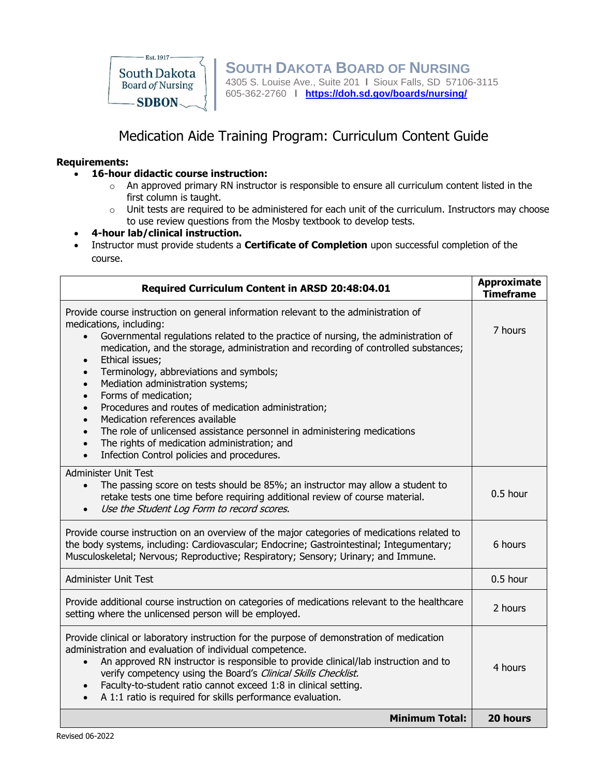

## Medication Aide Training Program: Curriculum Content Guide

### **Requirements:**

- **16-hour didactic course instruction:** 
	- $\circ$  An approved primary RN instructor is responsible to ensure all curriculum content listed in the first column is taught.
	- o Unit tests are required to be administered for each unit of the curriculum. Instructors may choose to use review questions from the Mosby textbook to develop tests.
- **4-hour lab/clinical instruction.**
- Instructor must provide students a **Certificate of Completion** upon successful completion of the course.

| Required Curriculum Content in ARSD 20:48:04.01                                                                                                                                                                                                                                                                                                                                                                                                                                                                                                                                                                                                                                                                                                                                                                              | <b>Approximate</b><br><b>Timeframe</b> |
|------------------------------------------------------------------------------------------------------------------------------------------------------------------------------------------------------------------------------------------------------------------------------------------------------------------------------------------------------------------------------------------------------------------------------------------------------------------------------------------------------------------------------------------------------------------------------------------------------------------------------------------------------------------------------------------------------------------------------------------------------------------------------------------------------------------------------|----------------------------------------|
| Provide course instruction on general information relevant to the administration of<br>medications, including:<br>Governmental regulations related to the practice of nursing, the administration of<br>$\bullet$<br>medication, and the storage, administration and recording of controlled substances;<br>Ethical issues;<br>$\bullet$<br>Terminology, abbreviations and symbols;<br>$\bullet$<br>Mediation administration systems;<br>$\bullet$<br>Forms of medication;<br>$\bullet$<br>Procedures and routes of medication administration;<br>$\bullet$<br>Medication references available<br>$\bullet$<br>The role of unlicensed assistance personnel in administering medications<br>$\bullet$<br>The rights of medication administration; and<br>$\bullet$<br>Infection Control policies and procedures.<br>$\bullet$ | 7 hours                                |
| <b>Administer Unit Test</b><br>The passing score on tests should be 85%; an instructor may allow a student to<br>retake tests one time before requiring additional review of course material.<br>Use the Student Log Form to record scores.                                                                                                                                                                                                                                                                                                                                                                                                                                                                                                                                                                                  | $0.5$ hour                             |
| Provide course instruction on an overview of the major categories of medications related to<br>the body systems, including: Cardiovascular; Endocrine; Gastrointestinal; Integumentary;<br>Musculoskeletal; Nervous; Reproductive; Respiratory; Sensory; Urinary; and Immune.                                                                                                                                                                                                                                                                                                                                                                                                                                                                                                                                                | 6 hours                                |
| <b>Administer Unit Test</b>                                                                                                                                                                                                                                                                                                                                                                                                                                                                                                                                                                                                                                                                                                                                                                                                  | 0.5 hour                               |
| Provide additional course instruction on categories of medications relevant to the healthcare<br>setting where the unlicensed person will be employed.                                                                                                                                                                                                                                                                                                                                                                                                                                                                                                                                                                                                                                                                       | 2 hours                                |
| Provide clinical or laboratory instruction for the purpose of demonstration of medication<br>administration and evaluation of individual competence.<br>An approved RN instructor is responsible to provide clinical/lab instruction and to<br>$\bullet$<br>verify competency using the Board's Clinical Skills Checklist.<br>Faculty-to-student ratio cannot exceed 1:8 in clinical setting.<br>$\bullet$<br>A 1:1 ratio is required for skills performance evaluation.<br>$\bullet$                                                                                                                                                                                                                                                                                                                                        | 4 hours                                |
| <b>Minimum Total:</b>                                                                                                                                                                                                                                                                                                                                                                                                                                                                                                                                                                                                                                                                                                                                                                                                        | 20 hours                               |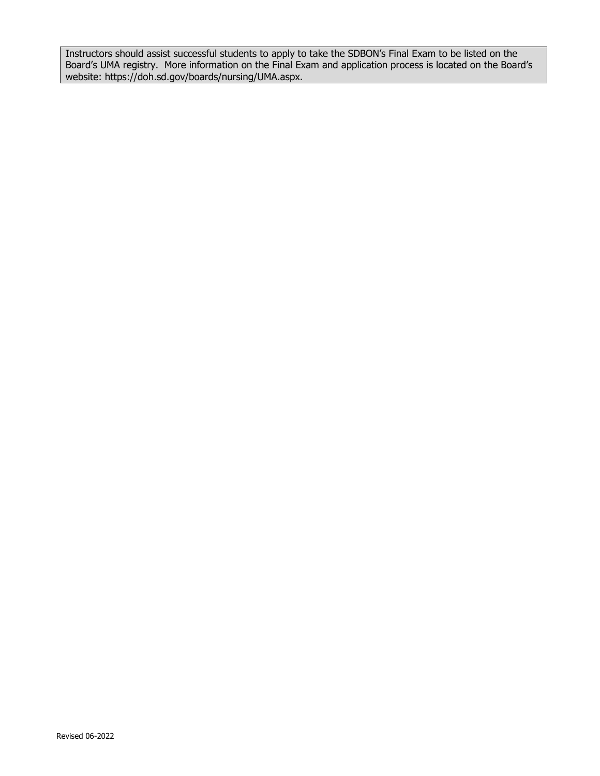Instructors should assist successful students to apply to take the SDBON's Final Exam to be listed on the Board's UMA registry. More information on the Final Exam and application process is located on the Board's website: https://doh.sd.gov/boards/nursing/UMA.aspx.